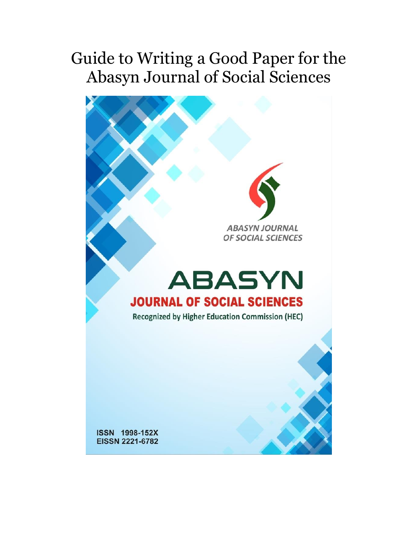# Guide to Writing a Good Paper for the Abasyn Journal of Social Sciences

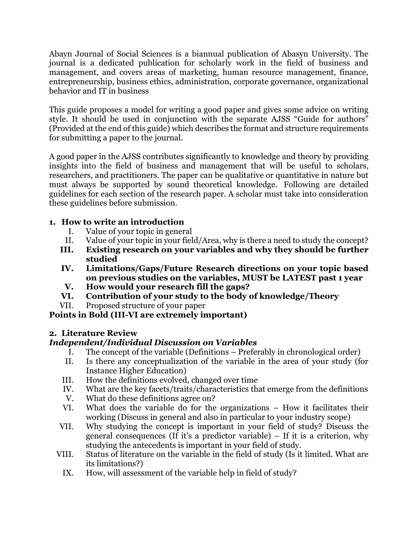Abayn Journal of Social Sciences is a biannual publication of Abasyn University. The journal is a dedicated publication for scholarly work in the field of business and management, and covers areas of marketing, human resource management, finance, entrepreneurship, business ethics, administration, corporate governance, organizational behavior and IT in business

This guide proposes a model for writing a good paper and gives some advice on writing style. It should be used in conjunction with the separate AJSS "Guide for authors" (Provided at the end of this guide) which describes the format and structure requirements for submitting a paper to the journal.

A good paper in the AJSS contributes significantly to knowledge and theory by providing insights into the field of business and management that will be useful to scholars, researchers, and practitioners. The paper can be qualitative or quantitative in nature but must always be supported by sound theoretical knowledge. Following are detailed guidelines for each section of the research paper. A scholar must take into consideration these guidelines before submission.

### **1. How to write an introduction**

- I. Value of your topic in general
- II. Value of your topic in your field/Area, why is there a need to study the concept?
- **III. Existing research on your variables and why they should be further studied**
- **IV. Limitations/Gaps/Future Research directions on your topic based on previous studies on the variables, MUST be LATEST past 1 year**
- **V. How would your research fill the gaps?**
- **VI. Contribution of your study to the body of knowledge/Theory**
- VII. Proposed structure of your paper

## **Points in Bold (III-VI are extremely important)**

## **2. Literature Review**

## *Independent/Individual Discussion on Variables*

- I. The concept of the variable (Definitions Preferably in chronological order)
- II. Is there any conceptualization of the variable in the area of your study (for Instance Higher Education)
- III. How the definitions evolved, changed over time
- IV. What are the key facets/traits/characteristics that emerge from the definitions
- V. What do these definitions agree on?
- VI. What does the variable do for the organizations How it facilitates their working (Discuss in general and also in particular to your industry scope)
- VII. Why studying the concept is important in your field of study? Discuss the general consequences (If it's a predictor variable) – If it is a criterion, why studying the antecedents is important in your field of study.
- VIII. Status of literature on the variable in the field of study (Is it limited. What are its limitations?)
	- IX. How, will assessment of the variable help in field of study?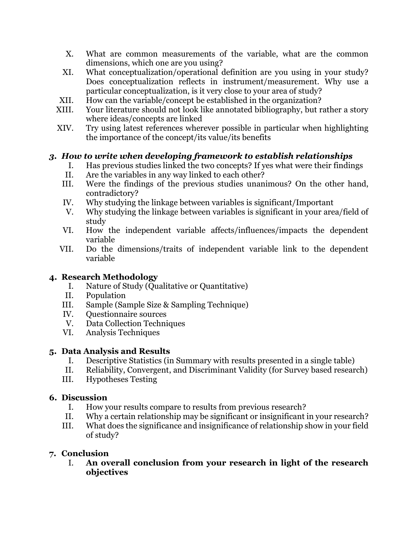- X. What are common measurements of the variable, what are the common dimensions, which one are you using?
- XI. What conceptualization/operational definition are you using in your study? Does conceptualization reflects in instrument/measurement. Why use a particular conceptualization, is it very close to your area of study?
- XII. How can the variable/concept be established in the organization?
- XIII. Your literature should not look like annotated bibliography, but rather a story where ideas/concepts are linked
- XIV. Try using latest references wherever possible in particular when highlighting the importance of the concept/its value/its benefits

## *3. How to write when developing framework to establish relationships*

- I. Has previous studies linked the two concepts? If yes what were their findings
- II. Are the variables in any way linked to each other?
- III. Were the findings of the previous studies unanimous? On the other hand, contradictory?
- IV. Why studying the linkage between variables is significant/Important
- V. Why studying the linkage between variables is significant in your area/field of study
- VI. How the independent variable affects/influences/impacts the dependent variable
- VII. Do the dimensions/traits of independent variable link to the dependent variable

#### **4. Research Methodology**

- I. Nature of Study (Qualitative or Quantitative)
- II. Population
- III. Sample (Sample Size & Sampling Technique)
- IV. Questionnaire sources
- V. Data Collection Techniques
- VI. Analysis Techniques

#### **5. Data Analysis and Results**

- I. Descriptive Statistics (in Summary with results presented in a single table)
- II. Reliability, Convergent, and Discriminant Validity (for Survey based research)
- III. Hypotheses Testing

#### **6. Discussion**

- I. How your results compare to results from previous research?
- II. Why a certain relationship may be significant or insignificant in your research?
- III. What does the significance and insignificance of relationship show in your field of study?

#### **7. Conclusion**

I. **An overall conclusion from your research in light of the research objectives**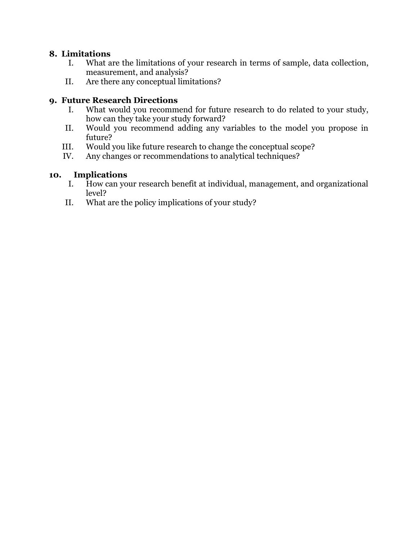#### **8. Limitations**

- I. What are the limitations of your research in terms of sample, data collection, measurement, and analysis?
- II. Are there any conceptual limitations?

#### **9. Future Research Directions**

- I. What would you recommend for future research to do related to your study, how can they take your study forward?
- II. Would you recommend adding any variables to the model you propose in future?
- III. Would you like future research to change the conceptual scope?
- IV. Any changes or recommendations to analytical techniques?

### **10. Implications**

- I. How can your research benefit at individual, management, and organizational level?
- II. What are the policy implications of your study?